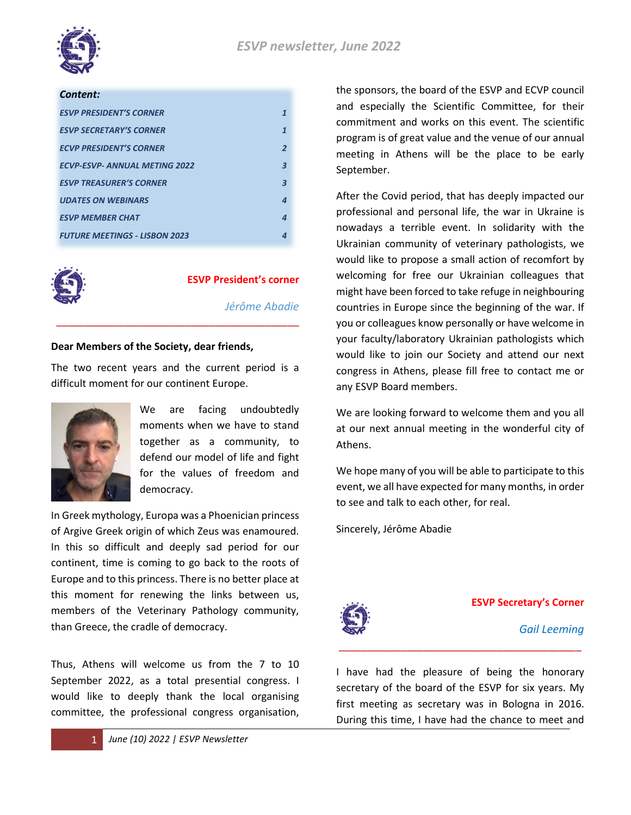

### *Content:*

| <b>ESVP PRESIDENT'S CORNER</b>       |                |
|--------------------------------------|----------------|
| <b>ESVP SECRETARY'S CORNER</b>       | 1              |
| <b>ECVP PRESIDENT'S CORNER</b>       | $\overline{2}$ |
| <b>ECVP-ESVP- ANNUAL METING 2022</b> | З              |
| <b>ESVP TREASURER'S CORNER</b>       | З              |
| <b>UDATES ON WEBINARS</b>            | Δ              |
| <b>ESVP MEMBER CHAT</b>              | 4              |
| <b>FUTURE MEETINGS - LISBON 2023</b> |                |



### **ESVP President's corner**

*Jérôme Abadie*

### **Dear Members of the Society, dear friends,**

The two recent years and the current period is a difficult moment for our continent Europe.

\_\_\_\_\_\_\_\_\_\_\_\_\_\_\_\_\_\_\_\_\_\_\_\_\_\_\_\_\_\_\_\_\_\_\_\_\_\_\_\_\_\_\_



We are facing undoubtedly moments when we have to stand together as a community, to defend our model of life and fight for the values of freedom and democracy.

In Greek mythology, Europa was a Phoenician princess of Argive Greek origin of which Zeus was enamoured. In this so difficult and deeply sad period for our continent, time is coming to go back to the roots of Europe and to this princess. There is no better place at this moment for renewing the links between us, members of the Veterinary Pathology community, than Greece, the cradle of democracy.

Thus, Athens will welcome us from the 7 to 10 September 2022, as a total presential congress. I would like to deeply thank the local organising committee, the professional congress organisation,

the sponsors, the board of the ESVP and ECVP council and especially the Scientific Committee, for their commitment and works on this event. The scientific program is of great value and the venue of our annual meeting in Athens will be the place to be early September.

After the Covid period, that has deeply impacted our professional and personal life, the war in Ukraine is nowadays a terrible event. In solidarity with the Ukrainian community of veterinary pathologists, we would like to propose a small action of recomfort by welcoming for free our Ukrainian colleagues that might have been forced to take refuge in neighbouring countries in Europe since the beginning of the war. If you or colleagues know personally or have welcome in your faculty/laboratory Ukrainian pathologists which would like to join our Society and attend our next congress in Athens, please fill free to contact me or any ESVP Board members.

We are looking forward to welcome them and you all at our next annual meeting in the wonderful city of Athens.

We hope many of you will be able to participate to this event, we all have expected for many months, in order to see and talk to each other, for real.

Sincerely, Jérôme Abadie



### **ESVP Secretary's Corner**

*Gail Leeming*

I have had the pleasure of being the honorary secretary of the board of the ESVP for six years. My first meeting as secretary was in Bologna in 2016. During this time, I have had the chance to meet and

\_\_\_\_\_\_\_\_\_\_\_\_\_\_\_\_\_\_\_\_\_\_\_\_\_\_\_\_\_\_\_\_\_\_\_\_\_\_\_\_\_\_\_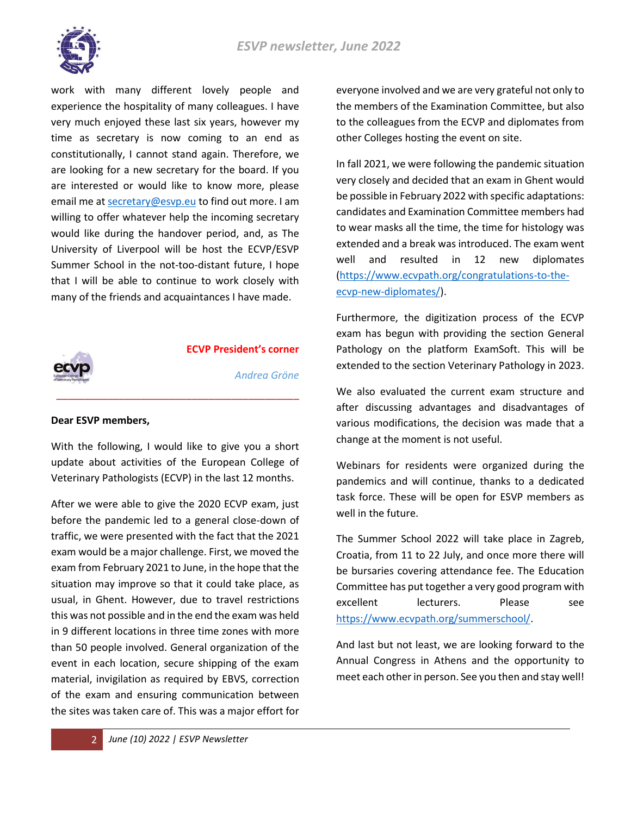

work with many different lovely people and experience the hospitality of many colleagues. I have very much enjoyed these last six years, however my time as secretary is now coming to an end as constitutionally, I cannot stand again. Therefore, we are looking for a new secretary for the board. If you are interested or would like to know more, please email me a[t secretary@esvp.eu](mailto:secretary@esvp.eu) to find out more. I am willing to offer whatever help the incoming secretary would like during the handover period, and, as The University of Liverpool will be host the ECVP/ESVP Summer School in the not-too-distant future, I hope that I will be able to continue to work closely with many of the friends and acquaintances I have made.



**ECVP President's corner**

*Andrea Gröne*

# **Dear ESVP members,**

With the following, I would like to give you a short update about activities of the European College of Veterinary Pathologists (ECVP) in the last 12 months.

\_\_\_\_\_\_\_\_\_\_\_\_\_\_\_\_\_\_\_\_\_\_\_\_\_\_\_\_\_\_\_\_\_\_\_\_\_\_\_\_\_\_\_

After we were able to give the 2020 ECVP exam, just before the pandemic led to a general close-down of traffic, we were presented with the fact that the 2021 exam would be a major challenge. First, we moved the exam from February 2021 to June, in the hope that the situation may improve so that it could take place, as usual, in Ghent. However, due to travel restrictions this was not possible and in the end the exam was held in 9 different locations in three time zones with more than 50 people involved. General organization of the event in each location, secure shipping of the exam material, invigilation as required by EBVS, correction of the exam and ensuring communication between the sites was taken care of. This was a major effort for

everyone involved and we are very grateful not only to the members of the Examination Committee, but also to the colleagues from the ECVP and diplomates from other Colleges hosting the event on site.

In fall 2021, we were following the pandemic situation very closely and decided that an exam in Ghent would be possible in February 2022 with specific adaptations: candidates and Examination Committee members had to wear masks all the time, the time for histology was extended and a break was introduced. The exam went well and resulted in 12 new diplomates [\(https://www.ecvpath.org/congratulations-to-the](https://www.ecvpath.org/congratulations-to-the-ecvp-new-diplomates/)[ecvp-new-diplomates/\)](https://www.ecvpath.org/congratulations-to-the-ecvp-new-diplomates/).

Furthermore, the digitization process of the ECVP exam has begun with providing the section General Pathology on the platform ExamSoft. This will be extended to the section Veterinary Pathology in 2023.

We also evaluated the current exam structure and after discussing advantages and disadvantages of various modifications, the decision was made that a change at the moment is not useful.

Webinars for residents were organized during the pandemics and will continue, thanks to a dedicated task force. These will be open for ESVP members as well in the future.

The Summer School 2022 will take place in Zagreb, Croatia, from 11 to 22 July, and once more there will be bursaries covering attendance fee. The Education Committee has put together a very good program with excellent lecturers. Please see [https://www.ecvpath.org/summerschool/.](https://www.ecvpath.org/summerschool/)

And last but not least, we are looking forward to the Annual Congress in Athens and the opportunity to meet each other in person. See you then and stay well!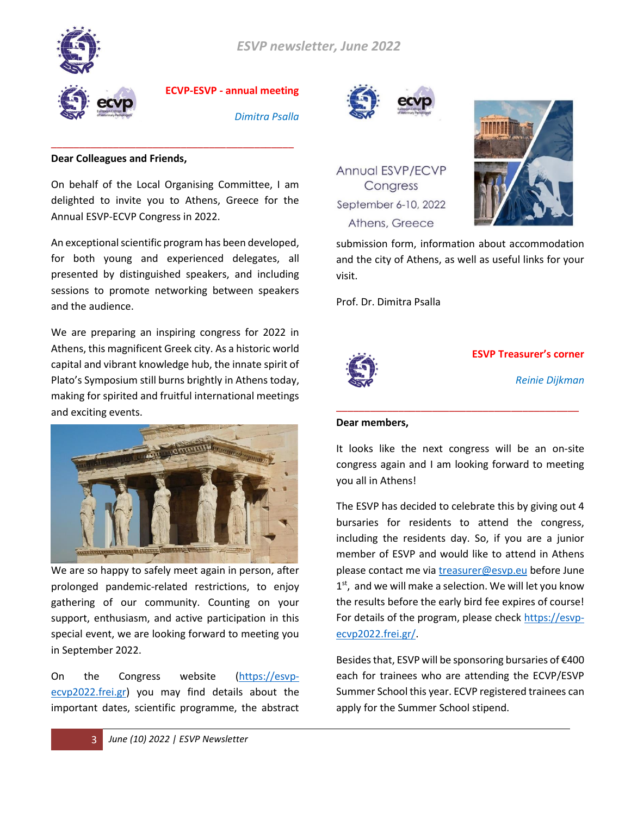



**ECVP-ESVP - annual meeting** 

*Dimitra Psalla*

### **Dear Colleagues and Friends,**

On behalf of the Local Organising Committee, I am delighted to invite you to Athens, Greece for the Annual ESVP-ECVP Congress in 2022.

\_\_\_\_\_\_\_\_\_\_\_\_\_\_\_\_\_\_\_\_\_\_\_\_\_\_\_\_\_\_\_\_\_\_\_\_\_\_\_\_\_\_\_

An exceptional scientific program has been developed, for both young and experienced delegates, all presented by distinguished speakers, and including sessions to promote networking between speakers and the audience.

We are preparing an inspiring congress for 2022 in Athens, this magnificent Greek city. As a historic world capital and vibrant knowledge hub, the innate spirit of Plato's Symposium still burns brightly in Athens today, making for spirited and fruitful international meetings and exciting events.



We are so happy to safely meet again in person, after prolonged pandemic-related restrictions, to enjoy gathering of our community. Counting on your support, enthusiasm, and active participation in this special event, we are looking forward to meeting you in September 2022.

On the Congress website [\(https://esvp](https://esvp-ecvp2022.frei.gr/)[ecvp2022.frei.gr\)](https://esvp-ecvp2022.frei.gr/) you may find details about the important dates, scientific programme, the abstract



Annual ESVP/ECVP Congress September 6-10, 2022 Athens, Greece



submission form, information about accommodation and the city of Athens, as well as useful links for your visit.

Prof. Dr. Dimitra Psalla



**ESVP Treasurer's corner**

*Reinie Dijkman*

### **Dear members,**

It looks like the next congress will be an on-site congress again and I am looking forward to meeting you all in Athens!

\_\_\_\_\_\_\_\_\_\_\_\_\_\_\_\_\_\_\_\_\_\_\_\_\_\_\_\_\_\_\_\_\_\_\_\_\_\_\_\_\_\_\_

The ESVP has decided to celebrate this by giving out 4 bursaries for residents to attend the congress, including the residents day. So, if you are a junior member of ESVP and would like to attend in Athens please contact me via [treasurer@esvp.eu](mailto:treasurer@esvp.eu) before June 1<sup>st</sup>, and we will make a selection. We will let you know the results before the early bird fee expires of course! For details of the program, please check [https://esvp](https://esvp-ecvp2022.frei.gr/)[ecvp2022.frei.gr/.](https://esvp-ecvp2022.frei.gr/)

Besides that, ESVP will be sponsoring bursaries of €400 each for trainees who are attending the ECVP/ESVP Summer School this year. ECVP registered trainees can apply for the Summer School stipend.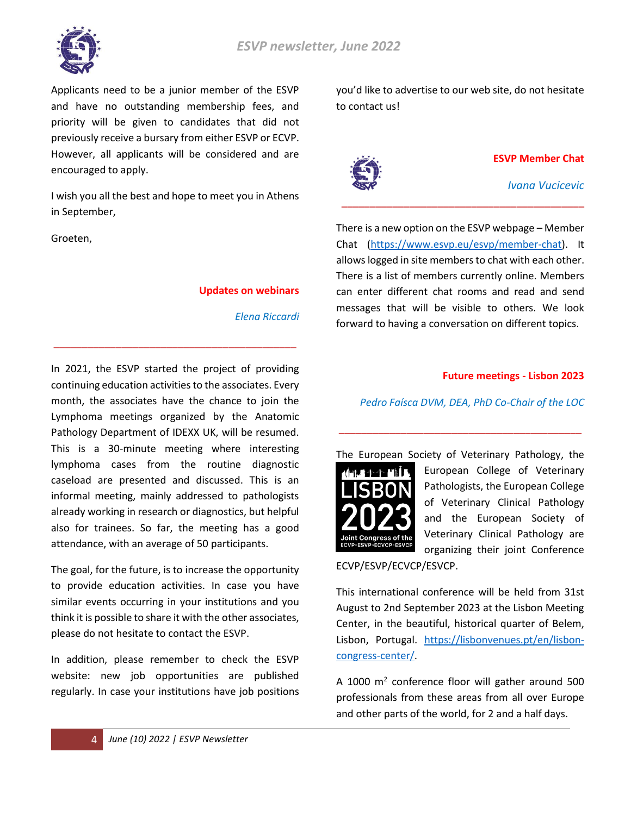

Applicants need to be a junior member of the ESVP and have no outstanding membership fees, and priority will be given to candidates that did not previously receive a bursary from either ESVP or ECVP. However, all applicants will be considered and are encouraged to apply.

I wish you all the best and hope to meet you in Athens in September,

Groeten,

### **Updates on webinars**

*Elena Riccardi*

In 2021, the ESVP started the project of providing continuing education activities to the associates. Every month, the associates have the chance to join the Lymphoma meetings organized by the Anatomic Pathology Department of IDEXX UK, will be resumed. This is a 30-minute meeting where interesting lymphoma cases from the routine diagnostic caseload are presented and discussed. This is an informal meeting, mainly addressed to pathologists already working in research or diagnostics, but helpful also for trainees. So far, the meeting has a good attendance, with an average of 50 participants.

\_\_\_\_\_\_\_\_\_\_\_\_\_\_\_\_\_\_\_\_\_\_\_\_\_\_\_\_\_\_\_\_\_\_\_\_\_\_\_\_\_\_\_

The goal, for the future, is to increase the opportunity to provide education activities. In case you have similar events occurring in your institutions and you think it is possible to share it with the other associates, please do not hesitate to contact the ESVP.

In addition, please remember to check the ESVP website: new job opportunities are published regularly. In case your institutions have job positions you'd like to advertise to our web site, do not hesitate to contact us!



**ESVP Member Chat** 

*Ivana Vucicevic*

There is a new option on the ESVP webpage – Member Chat [\(https://www.esvp.eu/esvp/member-chat\)](https://www.esvp.eu/esvp/member-chat). It allows logged in site members to chat with each other. There is a list of members currently online. Members can enter different chat rooms and read and send messages that will be visible to others. We look forward to having a conversation on different topics.

\_\_\_\_\_\_\_\_\_\_\_\_\_\_\_\_\_\_\_\_\_\_\_\_\_\_\_\_\_\_\_\_\_\_\_\_\_\_\_\_\_\_\_

# **Future meetings - Lisbon 2023**

*Pedro Faísca DVM, DEA, PhD Co-Chair of the LOC* 

\_\_\_\_\_\_\_\_\_\_\_\_\_\_\_\_\_\_\_\_\_\_\_\_\_\_\_\_\_\_\_\_\_\_\_\_\_\_\_\_\_\_\_



European College of Veterinary Pathologists, the European College of Veterinary Clinical Pathology and the European Society of Veterinary Clinical Pathology are organizing their joint Conference

ECVP/ESVP/ECVCP/ESVCP.

This international conference will be held from 31st August to 2nd September 2023 at the Lisbon Meeting Center, in the beautiful, historical quarter of Belem, Lisbon, Portugal. [https://lisbonvenues.pt/en/lisbon](https://lisbonvenues.pt/en/lisbon-congress-center/)[congress-center/.](https://lisbonvenues.pt/en/lisbon-congress-center/)

A 1000 m<sup>2</sup> conference floor will gather around 500 professionals from these areas from all over Europe and other parts of the world, for 2 and a half days.